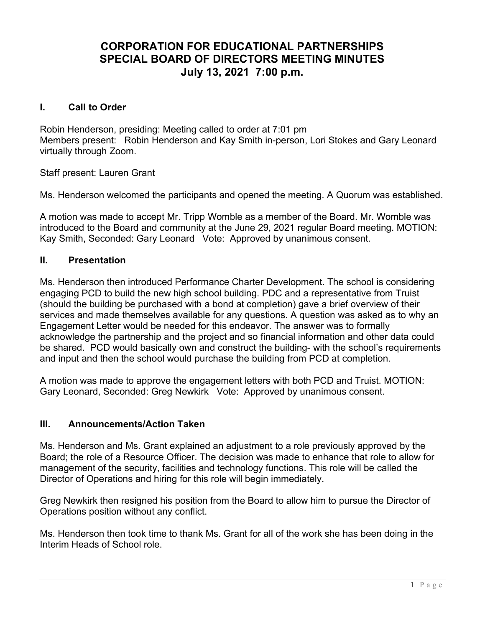# CORPORATION FOR EDUCATIONAL PARTNERSHIPS SPECIAL BOARD OF DIRECTORS MEETING MINUTES July 13, 2021 7:00 p.m.

## I. Call to Order

Robin Henderson, presiding: Meeting called to order at 7:01 pm Members present: Robin Henderson and Kay Smith in-person, Lori Stokes and Gary Leonard virtually through Zoom.

Staff present: Lauren Grant

Ms. Henderson welcomed the participants and opened the meeting. A Quorum was established.

A motion was made to accept Mr. Tripp Womble as a member of the Board. Mr. Womble was introduced to the Board and community at the June 29, 2021 regular Board meeting. MOTION: Kay Smith, Seconded: Gary Leonard Vote: Approved by unanimous consent.

#### II. Presentation

Ms. Henderson then introduced Performance Charter Development. The school is considering engaging PCD to build the new high school building. PDC and a representative from Truist (should the building be purchased with a bond at completion) gave a brief overview of their services and made themselves available for any questions. A question was asked as to why an Engagement Letter would be needed for this endeavor. The answer was to formally acknowledge the partnership and the project and so financial information and other data could be shared. PCD would basically own and construct the building- with the school's requirements and input and then the school would purchase the building from PCD at completion.

A motion was made to approve the engagement letters with both PCD and Truist. MOTION: Gary Leonard, Seconded: Greg Newkirk Vote: Approved by unanimous consent.

#### III. Announcements/Action Taken

Ms. Henderson and Ms. Grant explained an adjustment to a role previously approved by the Board; the role of a Resource Officer. The decision was made to enhance that role to allow for management of the security, facilities and technology functions. This role will be called the Director of Operations and hiring for this role will begin immediately.

Greg Newkirk then resigned his position from the Board to allow him to pursue the Director of Operations position without any conflict.

Ms. Henderson then took time to thank Ms. Grant for all of the work she has been doing in the Interim Heads of School role.